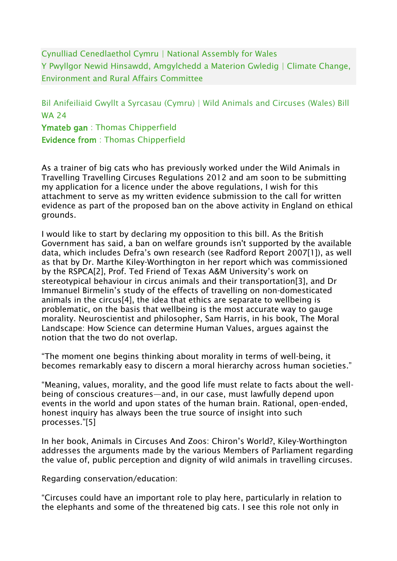Cynulliad Cenedlaethol Cymru | National Assembly for Wales Y Pwyllgor Newid Hinsawdd, Amgylchedd a Materion Gwledig | Climate Change, Environment and Rural Affairs Committee

Bil Anifeiliaid Gwyllt a Syrcasau (Cymru) | Wild Animals and Circuses (Wales) Bill WA 24 Ymateb gan : Thomas Chipperfield

Evidence from : Thomas Chipperfield

As a trainer of big cats who has previously worked under the Wild Animals in Travelling Travelling Circuses Regulations 2012 and am soon to be submitting my application for a licence under the above regulations, I wish for this attachment to serve as my written evidence submission to the call for written evidence as part of the proposed ban on the above activity in England on ethical grounds.

I would like to start by declaring my opposition to this bill. As the British Government has said, a ban on welfare grounds isn't supported by the available data, which includes Defra's own research (see Radford Report 2007[1]), as well as that by Dr. Marthe Kiley-Worthington in her report which was commissioned by the RSPCA[2], Prof. Ted Friend of Texas A&M University's work on stereotypical behaviour in circus animals and their transportation[3], and Dr Immanuel Birmelin's study of the effects of travelling on non-domesticated animals in the circus[4], the idea that ethics are separate to wellbeing is problematic, on the basis that wellbeing is the most accurate way to gauge morality. Neuroscientist and philosopher, Sam Harris, in his book, The Moral Landscape: How Science can determine Human Values, argues against the notion that the two do not overlap.

"The moment one begins thinking about morality in terms of well-being, it becomes remarkably easy to discern a moral hierarchy across human societies."

"Meaning, values, morality, and the good life must relate to facts about the wellbeing of conscious creatures—and, in our case, must lawfully depend upon events in the world and upon states of the human brain. Rational, open-ended, honest inquiry has always been the true source of insight into such processes."[5]

In her book, Animals in Circuses And Zoos: Chiron's World?, Kiley-Worthington addresses the arguments made by the various Members of Parliament regarding the value of, public perception and dignity of wild animals in travelling circuses.

Regarding conservation/education:

"Circuses could have an important role to play here, particularly in relation to the elephants and some of the threatened big cats. I see this role not only in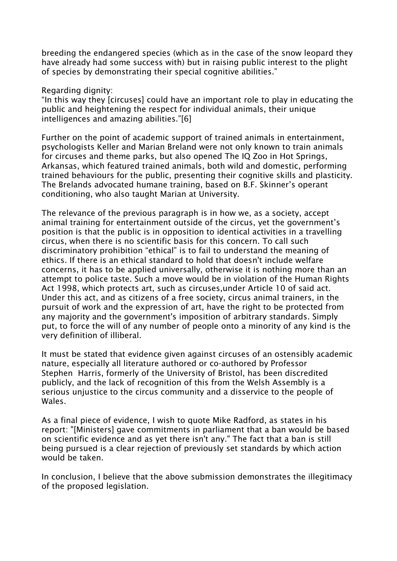breeding the endangered species (which as in the case of the snow leopard they have already had some success with) but in raising public interest to the plight of species by demonstrating their special cognitive abilities."

Regarding dignity:

"In this way they [circuses] could have an important role to play in educating the public and heightening the respect for individual animals, their unique intelligences and amazing abilities."[6]

Further on the point of academic support of trained animals in entertainment, psychologists Keller and Marian Breland were not only known to train animals for circuses and theme parks, but also opened The IQ Zoo in Hot Springs, Arkansas, which featured trained animals, both wild and domestic, performing trained behaviours for the public, presenting their cognitive skills and plasticity. The Brelands advocated humane training, based on B.F. Skinner's operant conditioning, who also taught Marian at University.

The relevance of the previous paragraph is in how we, as a society, accept animal training for entertainment outside of the circus, yet the government's position is that the public is in opposition to identical activities in a travelling circus, when there is no scientific basis for this concern. To call such discriminatory prohibition "ethical" is to fail to understand the meaning of ethics. If there is an ethical standard to hold that doesn't include welfare concerns, it has to be applied universally, otherwise it is nothing more than an attempt to police taste. Such a move would be in violation of the Human Rights Act 1998, which protects art, such as circuses,under Article 10 of said act. Under this act, and as citizens of a free society, circus animal trainers, in the pursuit of work and the expression of art, have the right to be protected from any majority and the government's imposition of arbitrary standards. Simply put, to force the will of any number of people onto a minority of any kind is the very definition of illiberal.

It must be stated that evidence given against circuses of an ostensibly academic nature, especially all literature authored or co-authored by Professor Stephen Harris, formerly of the University of Bristol, has been discredited publicly, and the lack of recognition of this from the Welsh Assembly is a serious unjustice to the circus community and a disservice to the people of Wales.

As a final piece of evidence, I wish to quote Mike Radford, as states in his report: "[Ministers] gave commitments in parliament that a ban would be based on scientific evidence and as yet there isn't any." The fact that a ban is still being pursued is a clear rejection of previously set standards by which action would be taken.

In conclusion, I believe that the above submission demonstrates the illegitimacy of the proposed legislation.